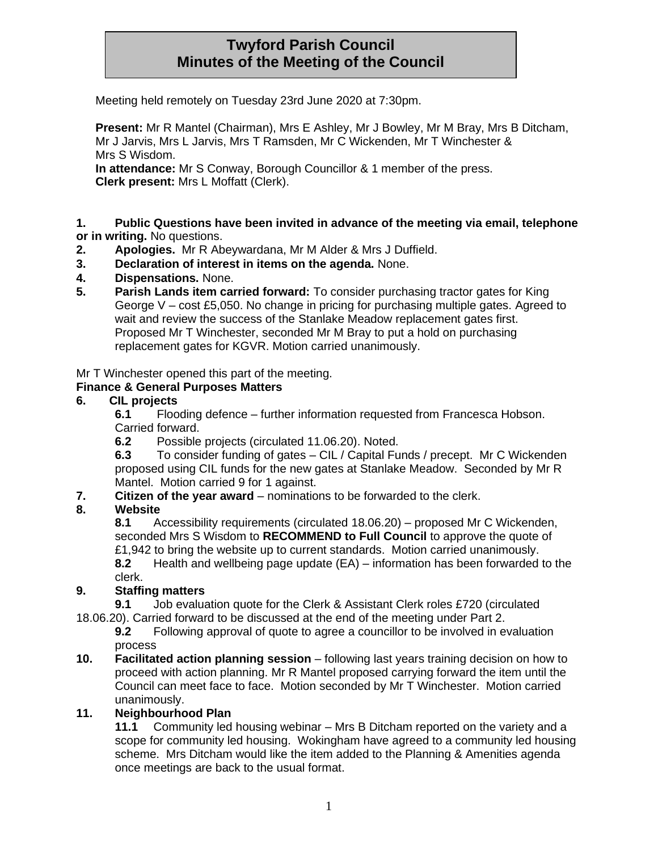# **Twyford Parish Council Minutes of the Meeting of the Council**

Meeting held remotely on Tuesday 23rd June 2020 at 7:30pm.

**Present:** Mr R Mantel (Chairman), Mrs E Ashley, Mr J Bowley, Mr M Bray, Mrs B Ditcham, Mr J Jarvis, Mrs L Jarvis, Mrs T Ramsden, Mr C Wickenden, Mr T Winchester & Mrs S Wisdom.

**In attendance:** Mr S Conway, Borough Councillor & 1 member of the press. **Clerk present:** Mrs L Moffatt (Clerk).

**1. Public Questions have been invited in advance of the meeting via email, telephone or in writing.** No questions.

- **2. Apologies.** Mr R Abeywardana, Mr M Alder & Mrs J Duffield.
- **3. Declaration of interest in items on the agenda.** None.
- **4. Dispensations.** None.
- **5. Parish Lands item carried forward:** To consider purchasing tractor gates for King George V – cost £5,050. No change in pricing for purchasing multiple gates. Agreed to wait and review the success of the Stanlake Meadow replacement gates first. Proposed Mr T Winchester, seconded Mr M Bray to put a hold on purchasing replacement gates for KGVR. Motion carried unanimously.

Mr T Winchester opened this part of the meeting.

#### **Finance & General Purposes Matters**

#### **6. CIL projects**

**6.1** Flooding defence – further information requested from Francesca Hobson. Carried forward.

**6.2** Possible projects (circulated 11.06.20). Noted.

**6.3** To consider funding of gates – CIL / Capital Funds / precept. Mr C Wickenden proposed using CIL funds for the new gates at Stanlake Meadow. Seconded by Mr R Mantel. Motion carried 9 for 1 against.

**7. Citizen of the year award** – nominations to be forwarded to the clerk.

### **8. Website**

**8.1** Accessibility requirements (circulated 18.06.20) – proposed Mr C Wickenden, seconded Mrs S Wisdom to **RECOMMEND to Full Council** to approve the quote of £1,942 to bring the website up to current standards. Motion carried unanimously.

**8.2** Health and wellbeing page update (EA) – information has been forwarded to the clerk.

#### **9. Staffing matters**

**9.1** Job evaluation quote for the Clerk & Assistant Clerk roles £720 (circulated

18.06.20). Carried forward to be discussed at the end of the meeting under Part 2.

**9.2** Following approval of quote to agree a councillor to be involved in evaluation process

**10. Facilitated action planning session** – following last years training decision on how to proceed with action planning. Mr R Mantel proposed carrying forward the item until the Council can meet face to face. Motion seconded by Mr T Winchester. Motion carried unanimously.

#### **11. Neighbourhood Plan**

**11.1** Community led housing webinar – Mrs B Ditcham reported on the variety and a scope for community led housing. Wokingham have agreed to a community led housing scheme. Mrs Ditcham would like the item added to the Planning & Amenities agenda once meetings are back to the usual format.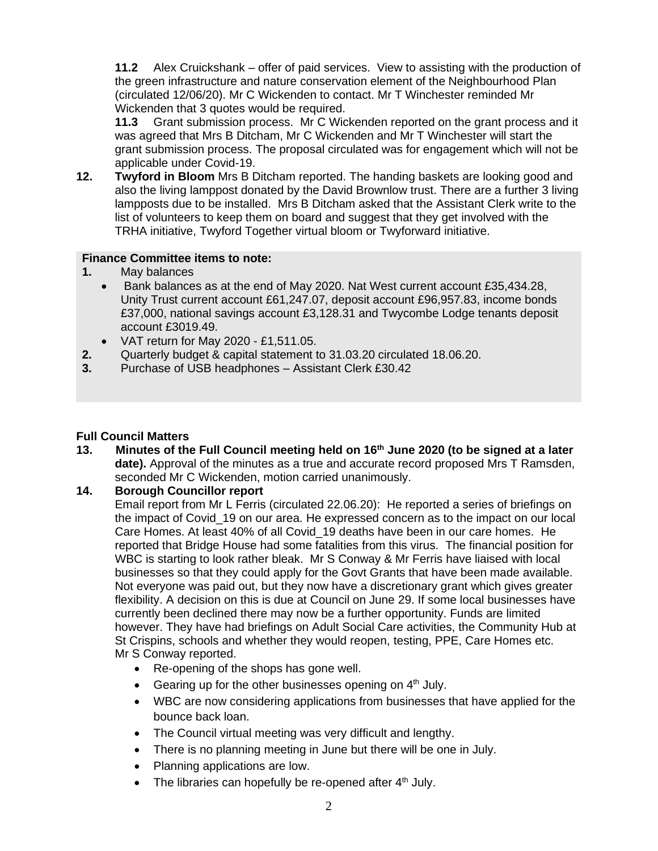**11.2** Alex Cruickshank – offer of paid services. View to assisting with the production of the green infrastructure and nature conservation element of the Neighbourhood Plan (circulated 12/06/20). Mr C Wickenden to contact. Mr T Winchester reminded Mr Wickenden that 3 quotes would be required.

**11.3** Grant submission process. Mr C Wickenden reported on the grant process and it was agreed that Mrs B Ditcham, Mr C Wickenden and Mr T Winchester will start the grant submission process. The proposal circulated was for engagement which will not be applicable under Covid-19.

**12. Twyford in Bloom** Mrs B Ditcham reported. The handing baskets are looking good and also the living lamppost donated by the David Brownlow trust. There are a further 3 living lampposts due to be installed. Mrs B Ditcham asked that the Assistant Clerk write to the list of volunteers to keep them on board and suggest that they get involved with the TRHA initiative, Twyford Together virtual bloom or Twyforward initiative.

#### **Finance Committee items to note:**

- **1.** May balances
	- Bank balances as at the end of May 2020. Nat West current account £35,434.28, Unity Trust current account £61,247.07, deposit account £96,957.83, income bonds £37,000, national savings account £3,128.31 and Twycombe Lodge tenants deposit account £3019.49.
	- VAT return for May 2020 £1,511.05.
- **2.** Quarterly budget & capital statement to 31.03.20 circulated 18.06.20.
- **3.** Purchase of USB headphones Assistant Clerk £30.42

#### **Full Council Matters**

**13. Minutes of the Full Council meeting held on 16th June 2020 (to be signed at a later date).** Approval of the minutes as a true and accurate record proposed Mrs T Ramsden, seconded Mr C Wickenden, motion carried unanimously.

### **14. Borough Councillor report**

Email report from Mr L Ferris (circulated 22.06.20): He reported a series of briefings on the impact of Covid\_19 on our area. He expressed concern as to the impact on our local Care Homes. At least 40% of all Covid\_19 deaths have been in our care homes. He reported that Bridge House had some fatalities from this virus.The financial position for WBC is starting to look rather bleak. Mr S Conway & Mr Ferris have liaised with local businesses so that they could apply for the Govt Grants that have been made available. Not everyone was paid out, but they now have a discretionary grant which gives greater flexibility. A decision on this is due at Council on June 29. If some local businesses have currently been declined there may now be a further opportunity. Funds are limited however. They have had briefings on Adult Social Care activities, the Community Hub at St Crispins, schools and whether they would reopen, testing, PPE, Care Homes etc. Mr S Conway reported.

- Re-opening of the shops has gone well.
- Gearing up for the other businesses opening on  $4<sup>th</sup>$  July.
- WBC are now considering applications from businesses that have applied for the bounce back loan.
- The Council virtual meeting was very difficult and lengthy.
- There is no planning meeting in June but there will be one in July.
- Planning applications are low.
- The libraries can hopefully be re-opened after  $4<sup>th</sup>$  July.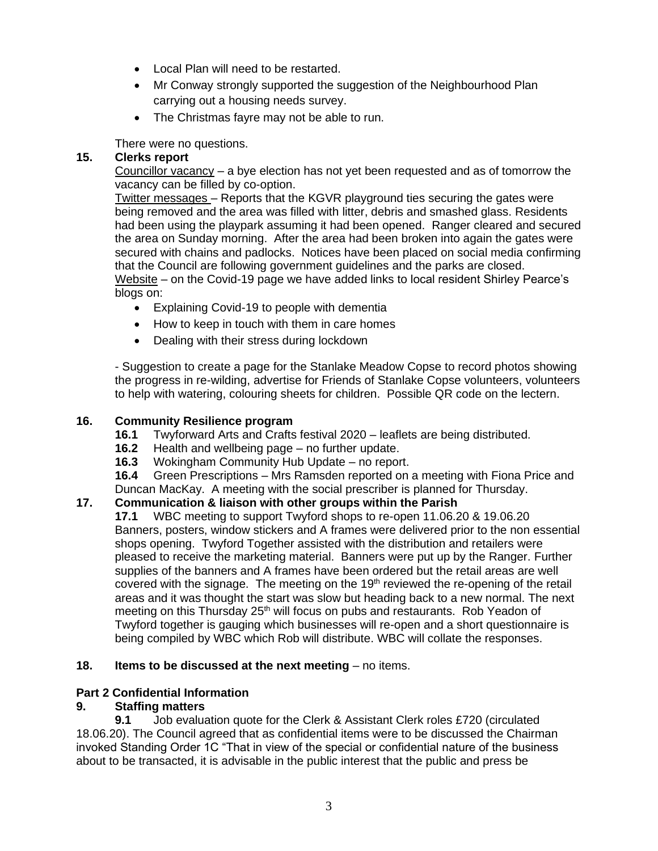- Local Plan will need to be restarted.
- Mr Conway strongly supported the suggestion of the Neighbourhood Plan carrying out a housing needs survey.
- The Christmas fayre may not be able to run.

There were no questions.

## **15. Clerks report**

Councillor vacancy – a bye election has not yet been requested and as of tomorrow the vacancy can be filled by co-option.

Twitter messages – Reports that the KGVR playground ties securing the gates were being removed and the area was filled with litter, debris and smashed glass. Residents had been using the playpark assuming it had been opened. Ranger cleared and secured the area on Sunday morning. After the area had been broken into again the gates were secured with chains and padlocks. Notices have been placed on social media confirming that the Council are following government guidelines and the parks are closed. Website – on the Covid-19 page we have added links to local resident Shirley Pearce's blogs on:

- Explaining Covid-19 to people with dementia
- How to keep in touch with them in care homes
- Dealing with their stress during lockdown

- Suggestion to create a page for the Stanlake Meadow Copse to record photos showing the progress in re-wilding, advertise for Friends of Stanlake Copse volunteers, volunteers to help with watering, colouring sheets for children. Possible QR code on the lectern.

## **16. Community Resilience program**

- **16.1** Twyforward Arts and Crafts festival 2020 leaflets are being distributed.
- **16.2** Health and wellbeing page no further update.
- **16.3** Wokingham Community Hub Update no report.

**16.4** Green Prescriptions – Mrs Ramsden reported on a meeting with Fiona Price and Duncan MacKay. A meeting with the social prescriber is planned for Thursday.

## **17. Communication & liaison with other groups within the Parish**

**17.1** WBC meeting to support Twyford shops to re-open 11.06.20 & 19.06.20 Banners, posters, window stickers and A frames were delivered prior to the non essential shops opening. Twyford Together assisted with the distribution and retailers were pleased to receive the marketing material. Banners were put up by the Ranger. Further supplies of the banners and A frames have been ordered but the retail areas are well covered with the signage. The meeting on the  $19<sup>th</sup>$  reviewed the re-opening of the retail areas and it was thought the start was slow but heading back to a new normal. The next meeting on this Thursday 25<sup>th</sup> will focus on pubs and restaurants. Rob Yeadon of Twyford together is gauging which businesses will re-open and a short questionnaire is being compiled by WBC which Rob will distribute. WBC will collate the responses.

## **18. Items to be discussed at the next meeting** – no items.

## **Part 2 Confidential Information**

## **9. Staffing matters**

**9.1** Job evaluation quote for the Clerk & Assistant Clerk roles £720 (circulated 18.06.20). The Council agreed that as confidential items were to be discussed the Chairman invoked Standing Order 1C "That in view of the special or confidential nature of the business about to be transacted, it is advisable in the public interest that the public and press be